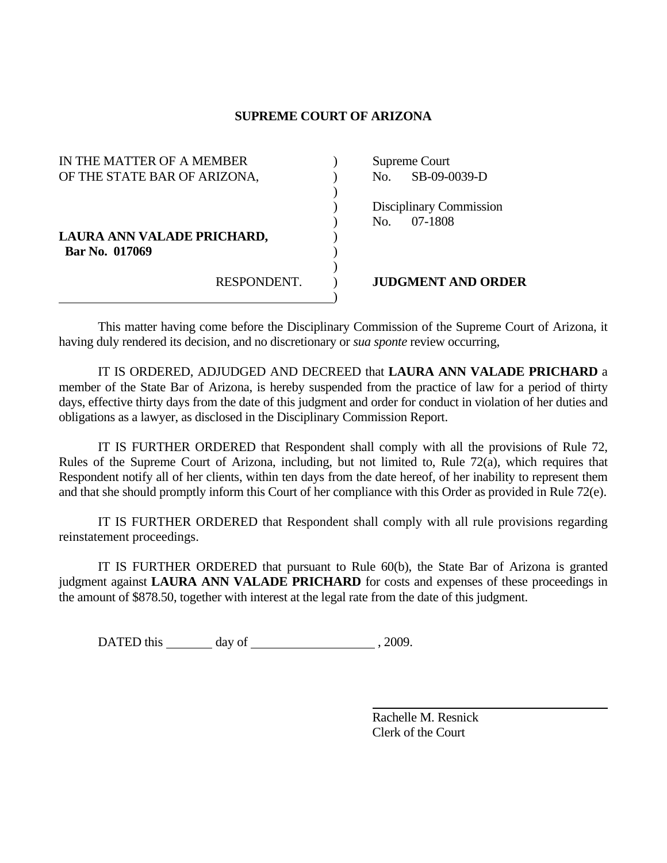## **SUPREME COURT OF ARIZONA**

| IN THE MATTER OF A MEMBER    |             |  | Supreme Court |                           |
|------------------------------|-------------|--|---------------|---------------------------|
| OF THE STATE BAR OF ARIZONA, |             |  | No.           | SB-09-0039-D              |
|                              |             |  |               |                           |
|                              |             |  |               | Disciplinary Commission   |
|                              |             |  | No.           | 07-1808                   |
| LAURA ANN VALADE PRICHARD,   |             |  |               |                           |
| Bar No. 017069               |             |  |               |                           |
|                              |             |  |               |                           |
|                              | RESPONDENT. |  |               | <b>JUDGMENT AND ORDER</b> |
|                              |             |  |               |                           |

 This matter having come before the Disciplinary Commission of the Supreme Court of Arizona, it having duly rendered its decision, and no discretionary or *sua sponte* review occurring,

 IT IS ORDERED, ADJUDGED AND DECREED that **LAURA ANN VALADE PRICHARD** a member of the State Bar of Arizona, is hereby suspended from the practice of law for a period of thirty days, effective thirty days from the date of this judgment and order for conduct in violation of her duties and obligations as a lawyer, as disclosed in the Disciplinary Commission Report.

 IT IS FURTHER ORDERED that Respondent shall comply with all the provisions of Rule 72, Rules of the Supreme Court of Arizona, including, but not limited to, Rule 72(a), which requires that Respondent notify all of her clients, within ten days from the date hereof, of her inability to represent them and that she should promptly inform this Court of her compliance with this Order as provided in Rule 72(e).

 IT IS FURTHER ORDERED that Respondent shall comply with all rule provisions regarding reinstatement proceedings.

 IT IS FURTHER ORDERED that pursuant to Rule 60(b), the State Bar of Arizona is granted judgment against **LAURA ANN VALADE PRICHARD** for costs and expenses of these proceedings in the amount of \$878.50, together with interest at the legal rate from the date of this judgment.

DATED this day of , 2009.

 Rachelle M. Resnick Clerk of the Court